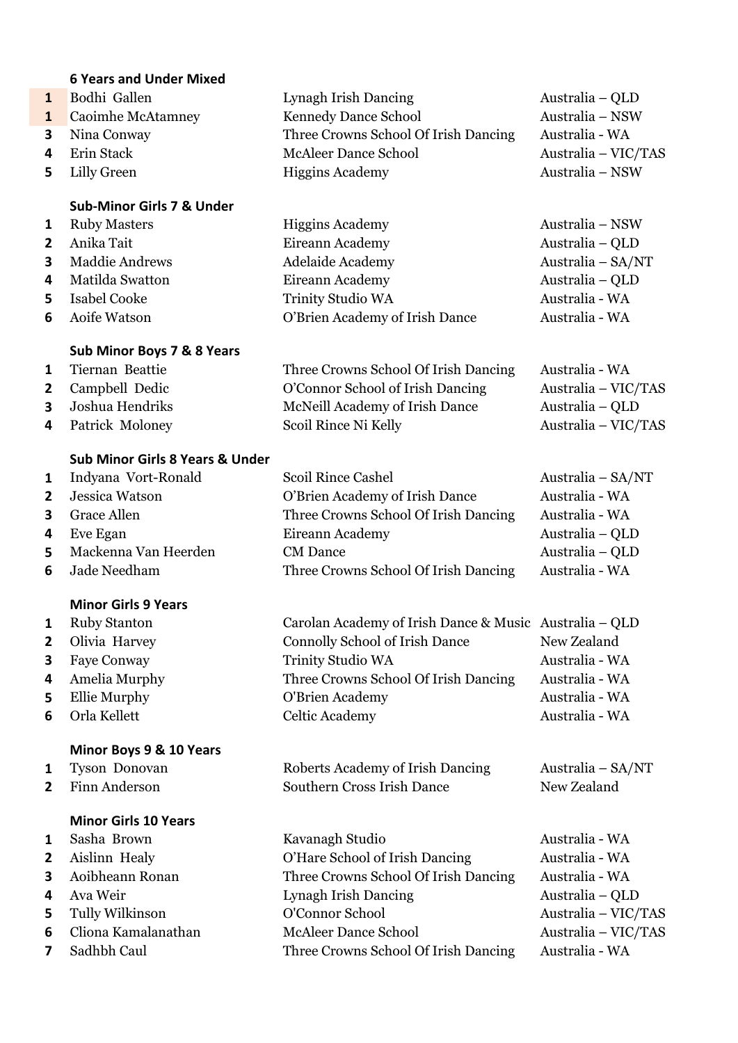|                | <b>6 Years and Under Mixed</b>             |                                                        |                     |
|----------------|--------------------------------------------|--------------------------------------------------------|---------------------|
| $\mathbf{1}$   | Bodhi Gallen                               | Lynagh Irish Dancing                                   | Australia – QLD     |
| $\mathbf{1}$   | Caoimhe McAtamney                          | Kennedy Dance School                                   | Australia - NSW     |
| 3              | Nina Conway                                | Three Crowns School Of Irish Dancing                   | Australia - WA      |
| 4              | Erin Stack                                 | <b>McAleer Dance School</b>                            | Australia - VIC/TAS |
| 5              | <b>Lilly Green</b>                         | <b>Higgins Academy</b>                                 | Australia - NSW     |
|                | <b>Sub-Minor Girls 7 &amp; Under</b>       |                                                        |                     |
| 1              | <b>Ruby Masters</b>                        | <b>Higgins Academy</b>                                 | Australia - NSW     |
| $\overline{2}$ | Anika Tait                                 | Eireann Academy                                        | Australia - QLD     |
| 3              | <b>Maddie Andrews</b>                      | Adelaide Academy                                       | Australia - SA/NT   |
| 4              | Matilda Swatton                            | Eireann Academy                                        | Australia - QLD     |
| 5              | <b>Isabel Cooke</b>                        | Trinity Studio WA                                      | Australia - WA      |
| 6              | Aoife Watson                               | O'Brien Academy of Irish Dance                         | Australia - WA      |
|                | Sub Minor Boys 7 & 8 Years                 |                                                        |                     |
| 1              | Tiernan Beattie                            | Three Crowns School Of Irish Dancing                   | Australia - WA      |
| $\overline{2}$ | Campbell Dedic                             | O'Connor School of Irish Dancing                       | Australia - VIC/TAS |
| 3              | Joshua Hendriks                            | McNeill Academy of Irish Dance                         | Australia - QLD     |
| 4              | Patrick Moloney                            | Scoil Rince Ni Kelly                                   | Australia - VIC/TAS |
|                | <b>Sub Minor Girls 8 Years &amp; Under</b> |                                                        |                     |
| 1              | Indyana Vort-Ronald                        | <b>Scoil Rince Cashel</b>                              | Australia – SA/NT   |
| $\overline{2}$ | Jessica Watson                             | O'Brien Academy of Irish Dance                         | Australia - WA      |
| 3              | <b>Grace Allen</b>                         | Three Crowns School Of Irish Dancing                   | Australia - WA      |
| 4              | Eve Egan                                   | Eireann Academy                                        | Australia - QLD     |
| 5              | Mackenna Van Heerden                       | <b>CM</b> Dance                                        | Australia - QLD     |
| 6              | Jade Needham                               | Three Crowns School Of Irish Dancing                   | Australia - WA      |
|                | <b>Minor Girls 9 Years</b>                 |                                                        |                     |
| $\mathbf{1}$   | <b>Ruby Stanton</b>                        | Carolan Academy of Irish Dance & Music Australia – QLD |                     |

- 
- 
- 
- 
- 

#### **Minor Boys 9 & 10 Years**

- 
- 

#### **Minor Girls 10 Years**

- 
- 
- 
- 
- 
- 
- 

| $\mathbf{r}$ $\mathbf{r}$ | carolan ricademy of frion Dance & Maste Trastrana Qui |                |
|---------------------------|-------------------------------------------------------|----------------|
| 2 Olivia Harvey           | <b>Connolly School of Irish Dance</b>                 | New Zealand    |
| <b>3</b> Faye Conway      | <b>Trinity Studio WA</b>                              | Australia - WA |
| 4 Amelia Murphy           | Three Crowns School Of Irish Dancing                  | Australia - WA |
| <b>5</b> Ellie Murphy     | O'Brien Academy                                       | Australia - WA |
| <b>6</b> Orla Kellett     | Celtic Academy                                        | Australia - WA |
|                           |                                                       |                |

## Tyson Donovan Roberts Academy of Irish Dancing Australia – SA/NT Finn Anderson Southern Cross Irish Dance New Zealand

- 1 Sasha Brown Kavanagh Studio Australia WA Aislinn Healy O'Hare School of Irish Dancing Australia - WA Aoibheann Ronan Three Crowns School Of Irish Dancing Australia - WA Ava Weir Lynagh Irish Dancing Australia – QLD Tully Wilkinson O'Connor School Australia – VIC/TAS Cliona Kamalanathan McAleer Dance School Australia – VIC/TAS
- Sadhbh Caul Three Crowns School Of Irish Dancing Australia WA
- -
-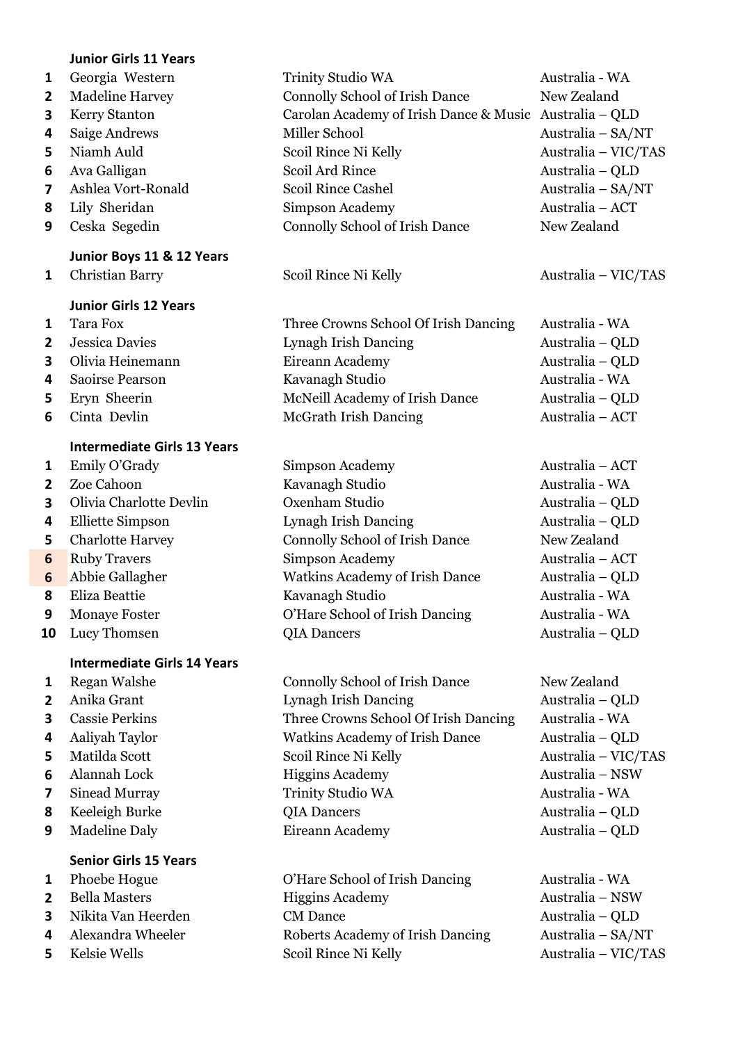#### **Junior Girls 11 Years**

- 
- 
- 
- 
- 
- 
- 
- 
- 

## **Junior Boys 11 & 12 Years**

### **Junior Girls 12 Years**

- 
- 
- 
- 
- 
- 

### **Intermediate Girls 13 Years**

- 
- 
- 
- 
- 
- 
- 
- 
- 
- 

### **Intermediate Girls 14 Years**

- 
- 
- 
- 
- 
- 
- 
- 
- 

## **Senior Girls 15 Years**

- 
- 
- 
- 
- 

 Georgia Western Trinity Studio WA Australia - WA Madeline Harvey Connolly School of Irish Dance New Zealand Kerry Stanton Carolan Academy of Irish Dance & Music Australia – QLD Saige Andrews Miller School Australia – SA/NT Niamh Auld Scoil Rince Ni Kelly Australia – VIC/TAS Ava Galligan Scoil Ard Rince Australia – QLD Ashlea Vort-Ronald Scoil Rince Cashel Australia – SA/NT Lily Sheridan Simpson Academy Australia – ACT Ceska Segedin Connolly School of Irish Dance New Zealand

 Tara Fox Three Crowns School Of Irish Dancing Australia - WA Jessica Davies Lynagh Irish Dancing Australia – QLD Olivia Heinemann Eireann Academy Australia – QLD Saoirse Pearson Kavanagh Studio Australia - WA Eryn Sheerin McNeill Academy of Irish Dance Australia – QLD Cinta Devlin McGrath Irish Dancing Australia – ACT

 Emily O'Grady Simpson Academy Australia – ACT Zoe Cahoon **Kavanagh Studio Australia - WA**  Olivia Charlotte Devlin Oxenham Studio Australia – QLD Elliette Simpson Lynagh Irish Dancing Australia – QLD Charlotte Harvey Connolly School of Irish Dance New Zealand Ruby Travers Simpson Academy Australia – ACT Abbie Gallagher Watkins Academy of Irish Dance Australia – QLD 8 Eliza Beattie **Kavanagh Studio Australia - WA**  Monaye Foster **O'Hare School of Irish Dancing Australia - WA** Lucy Thomsen **QIA Dancers** Australia – QLD

 Regan Walshe **Connolly School of Irish Dance** New Zealand Anika Grant Lynagh Irish Dancing Australia – QLD Cassie Perkins Three Crowns School Of Irish Dancing Australia - WA Aaliyah Taylor Watkins Academy of Irish Dance Australia – QLD Matilda Scott Scoil Rince Ni Kelly Australia – VIC/TAS Alannah Lock Higgins Academy Australia – NSW Sinead Murray Trinity Studio WA Australia - WA Keeleigh Burke **QIA Dancers** QIA Dancers Australia – QLD Madeline Daly **Eireann Academy** Australia – QLD

 Phoebe Hogue O'Hare School of Irish Dancing Australia - WA Bella Masters Higgins Academy Australia – NSW Nikita Van Heerden CM Dance Australia – QLD Alexandra Wheeler Roberts Academy of Irish Dancing Australia – SA/NT Kelsie Wells Scoil Rince Ni Kelly Australia – VIC/TAS

Christian Barry Scoil Rince Ni Kelly Australia – VIC/TAS

- 
- 
- 
-